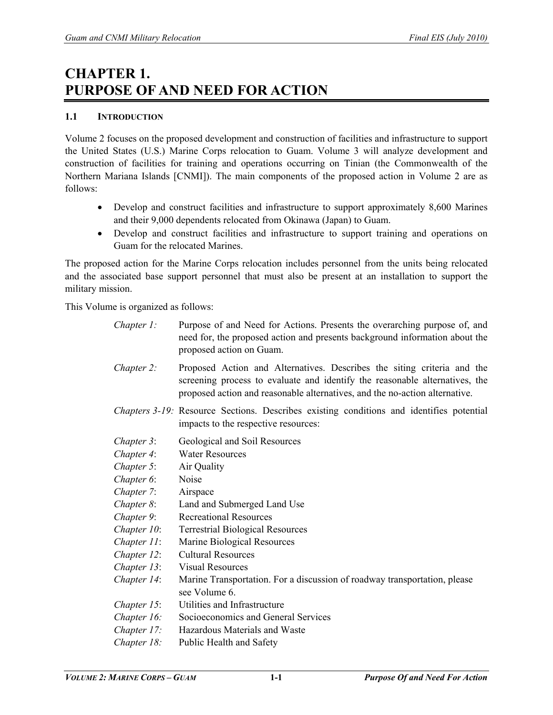# **CHAPTER 1. PURPOSE OF AND NEED FOR ACTION**

# **1.1 INTRODUCTION**

Volume 2 focuses on the proposed development and construction of facilities and infrastructure to support the United States (U.S.) Marine Corps relocation to Guam. Volume 3 will analyze development and construction of facilities for training and operations occurring on Tinian (the Commonwealth of the Northern Mariana Islands [CNMI]). The main components of the proposed action in Volume 2 are as follows:

- Develop and construct facilities and infrastructure to support approximately 8,600 Marines and their 9,000 dependents relocated from Okinawa (Japan) to Guam.
- Develop and construct facilities and infrastructure to support training and operations on Guam for the relocated Marines.

The proposed action for the Marine Corps relocation includes personnel from the units being relocated and the associated base support personnel that must also be present at an installation to support the military mission.

This Volume is organized as follows:

| $Chapter 1$ :  | Purpose of and Need for Actions. Presents the overarching purpose of, and<br>need for, the proposed action and presents background information about the<br>proposed action on Guam.                                                  |
|----------------|---------------------------------------------------------------------------------------------------------------------------------------------------------------------------------------------------------------------------------------|
| Chapter 2:     | Proposed Action and Alternatives. Describes the siting criteria and the<br>screening process to evaluate and identify the reasonable alternatives, the<br>proposed action and reasonable alternatives, and the no-action alternative. |
|                | <i>Chapters 3-19:</i> Resource Sections. Describes existing conditions and identifies potential<br>impacts to the respective resources:                                                                                               |
| Chapter 3:     | Geological and Soil Resources                                                                                                                                                                                                         |
| Chapter 4:     | <b>Water Resources</b>                                                                                                                                                                                                                |
| Chapter 5:     | Air Quality                                                                                                                                                                                                                           |
| Chapter 6:     | Noise                                                                                                                                                                                                                                 |
| Chapter 7:     | Airspace                                                                                                                                                                                                                              |
| Chapter 8:     | Land and Submerged Land Use                                                                                                                                                                                                           |
| Chapter 9:     | <b>Recreational Resources</b>                                                                                                                                                                                                         |
| Chapter 10:    | <b>Terrestrial Biological Resources</b>                                                                                                                                                                                               |
| Chapter 11:    | Marine Biological Resources                                                                                                                                                                                                           |
| Chapter 12:    | <b>Cultural Resources</b>                                                                                                                                                                                                             |
| Chapter 13:    | <b>Visual Resources</b>                                                                                                                                                                                                               |
| Chapter 14:    | Marine Transportation. For a discussion of roadway transportation, please<br>see Volume 6.                                                                                                                                            |
| Chapter $15$ : | Utilities and Infrastructure                                                                                                                                                                                                          |
| Chapter 16:    | Socioeconomics and General Services                                                                                                                                                                                                   |
| Chapter 17:    | Hazardous Materials and Waste                                                                                                                                                                                                         |
| Chapter 18:    | Public Health and Safety                                                                                                                                                                                                              |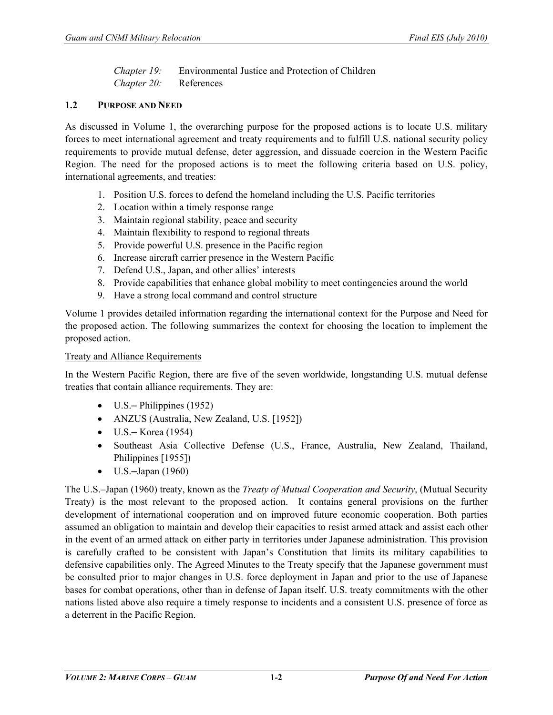*Chapter 19:* Environmental Justice and Protection of Children *Chapter 20:* References

# **1.2 PURPOSE AND NEED**

As discussed in Volume 1, the overarching purpose for the proposed actions is to locate U.S. military forces to meet international agreement and treaty requirements and to fulfill U.S. national security policy requirements to provide mutual defense, deter aggression, and dissuade coercion in the Western Pacific Region. The need for the proposed actions is to meet the following criteria based on U.S. policy, international agreements, and treaties:

- 1. Position U.S. forces to defend the homeland including the U.S. Pacific territories
- 2. Location within a timely response range
- 3. Maintain regional stability, peace and security
- 4. Maintain flexibility to respond to regional threats
- 5. Provide powerful U.S. presence in the Pacific region
- 6. Increase aircraft carrier presence in the Western Pacific
- 7. Defend U.S., Japan, and other allies' interests
- 8. Provide capabilities that enhance global mobility to meet contingencies around the world
- 9. Have a strong local command and control structure

Volume 1 provides detailed information regarding the international context for the Purpose and Need for the proposed action. The following summarizes the context for choosing the location to implement the proposed action.

#### Treaty and Alliance Requirements

In the Western Pacific Region, there are five of the seven worldwide, longstanding U.S. mutual defense treaties that contain alliance requirements. They are:

- U.S.– Philippines (1952)
- ANZUS (Australia, New Zealand, U.S. [1952])
- $\bullet$  U.S. Korea (1954)
- Southeast Asia Collective Defense (U.S., France, Australia, New Zealand, Thailand, Philippines [1955])
- $\bullet$  U.S.-Japan (1960)

The U.S.–Japan (1960) treaty, known as the *Treaty of Mutual Cooperation and Security*, (Mutual Security Treaty) is the most relevant to the proposed action. It contains general provisions on the further development of international cooperation and on improved future economic cooperation. Both parties assumed an obligation to maintain and develop their capacities to resist armed attack and assist each other in the event of an armed attack on either party in territories under Japanese administration. This provision is carefully crafted to be consistent with Japan's Constitution that limits its military capabilities to defensive capabilities only. The Agreed Minutes to the Treaty specify that the Japanese government must be consulted prior to major changes in U.S. force deployment in Japan and prior to the use of Japanese bases for combat operations, other than in defense of Japan itself. U.S. treaty commitments with the other nations listed above also require a timely response to incidents and a consistent U.S. presence of force as a deterrent in the Pacific Region.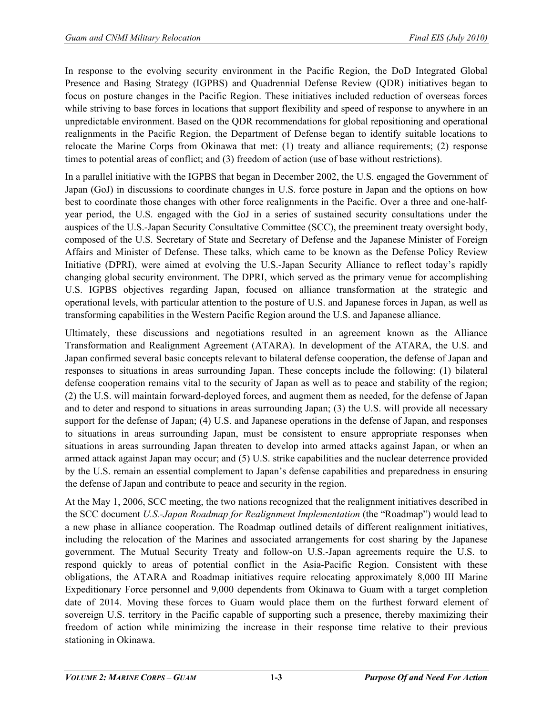In response to the evolving security environment in the Pacific Region, the DoD Integrated Global Presence and Basing Strategy (IGPBS) and Quadrennial Defense Review (QDR) initiatives began to focus on posture changes in the Pacific Region. These initiatives included reduction of overseas forces while striving to base forces in locations that support flexibility and speed of response to anywhere in an unpredictable environment. Based on the QDR recommendations for global repositioning and operational realignments in the Pacific Region, the Department of Defense began to identify suitable locations to relocate the Marine Corps from Okinawa that met: (1) treaty and alliance requirements; (2) response times to potential areas of conflict; and (3) freedom of action (use of base without restrictions).

In a parallel initiative with the IGPBS that began in December 2002, the U.S. engaged the Government of Japan (GoJ) in discussions to coordinate changes in U.S. force posture in Japan and the options on how best to coordinate those changes with other force realignments in the Pacific. Over a three and one-halfyear period, the U.S. engaged with the GoJ in a series of sustained security consultations under the auspices of the U.S.-Japan Security Consultative Committee (SCC), the preeminent treaty oversight body, composed of the U.S. Secretary of State and Secretary of Defense and the Japanese Minister of Foreign Affairs and Minister of Defense. These talks, which came to be known as the Defense Policy Review Initiative (DPRI), were aimed at evolving the U.S.-Japan Security Alliance to reflect today's rapidly changing global security environment. The DPRI, which served as the primary venue for accomplishing U.S. IGPBS objectives regarding Japan, focused on alliance transformation at the strategic and operational levels, with particular attention to the posture of U.S. and Japanese forces in Japan, as well as transforming capabilities in the Western Pacific Region around the U.S. and Japanese alliance.

Ultimately, these discussions and negotiations resulted in an agreement known as the Alliance Transformation and Realignment Agreement (ATARA). In development of the ATARA, the U.S. and Japan confirmed several basic concepts relevant to bilateral defense cooperation, the defense of Japan and responses to situations in areas surrounding Japan. These concepts include the following: (1) bilateral defense cooperation remains vital to the security of Japan as well as to peace and stability of the region; (2) the U.S. will maintain forward-deployed forces, and augment them as needed, for the defense of Japan and to deter and respond to situations in areas surrounding Japan; (3) the U.S. will provide all necessary support for the defense of Japan; (4) U.S. and Japanese operations in the defense of Japan, and responses to situations in areas surrounding Japan, must be consistent to ensure appropriate responses when situations in areas surrounding Japan threaten to develop into armed attacks against Japan, or when an armed attack against Japan may occur; and (5) U.S. strike capabilities and the nuclear deterrence provided by the U.S. remain an essential complement to Japan's defense capabilities and preparedness in ensuring the defense of Japan and contribute to peace and security in the region.

At the May 1, 2006, SCC meeting, the two nations recognized that the realignment initiatives described in the SCC document *U.S.-Japan Roadmap for Realignment Implementation* (the "Roadmap") would lead to a new phase in alliance cooperation. The Roadmap outlined details of different realignment initiatives, including the relocation of the Marines and associated arrangements for cost sharing by the Japanese government. The Mutual Security Treaty and follow-on U.S.-Japan agreements require the U.S. to respond quickly to areas of potential conflict in the Asia-Pacific Region. Consistent with these obligations, the ATARA and Roadmap initiatives require relocating approximately 8,000 III Marine Expeditionary Force personnel and 9,000 dependents from Okinawa to Guam with a target completion date of 2014. Moving these forces to Guam would place them on the furthest forward element of sovereign U.S. territory in the Pacific capable of supporting such a presence, thereby maximizing their freedom of action while minimizing the increase in their response time relative to their previous stationing in Okinawa.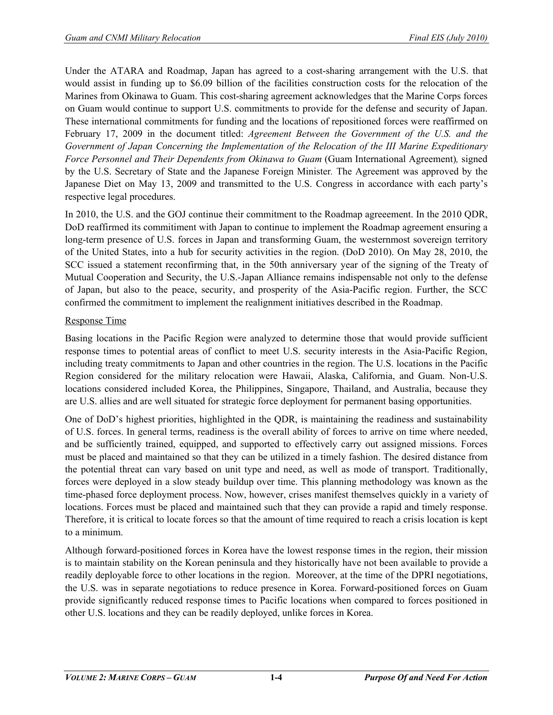Under the ATARA and Roadmap, Japan has agreed to a cost-sharing arrangement with the U.S. that would assist in funding up to \$6.09 billion of the facilities construction costs for the relocation of the Marines from Okinawa to Guam. This cost-sharing agreement acknowledges that the Marine Corps forces on Guam would continue to support U.S. commitments to provide for the defense and security of Japan. These international commitments for funding and the locations of repositioned forces were reaffirmed on February 17, 2009 in the document titled: *Agreement Between the Government of the U.S. and the Government of Japan Concerning the Implementation of the Relocation of the III Marine Expeditionary Force Personnel and Their Dependents from Okinawa to Guam* (Guam International Agreement)*,* signed by the U.S. Secretary of State and the Japanese Foreign Minister*.* The Agreement was approved by the Japanese Diet on May 13, 2009 and transmitted to the U.S. Congress in accordance with each party's respective legal procedures.

In 2010, the U.S. and the GOJ continue their commitment to the Roadmap agreeement. In the 2010 QDR, DoD reaffirmed its commitiment with Japan to continue to implement the Roadmap agreement ensuring a long-term presence of U.S. forces in Japan and transforming Guam, the westernmost sovereign territory of the United States, into a hub for security activities in the region. (DoD 2010). On May 28, 2010, the SCC issued a statement reconfirming that, in the 50th anniversary year of the signing of the Treaty of Mutual Cooperation and Security, the U.S.-Japan Alliance remains indispensable not only to the defense of Japan, but also to the peace, security, and prosperity of the Asia-Pacific region. Further, the SCC confirmed the commitment to implement the realignment initiatives described in the Roadmap.

## Response Time

Basing locations in the Pacific Region were analyzed to determine those that would provide sufficient response times to potential areas of conflict to meet U.S. security interests in the Asia-Pacific Region, including treaty commitments to Japan and other countries in the region. The U.S. locations in the Pacific Region considered for the military relocation were Hawaii, Alaska, California, and Guam. Non-U.S. locations considered included Korea, the Philippines, Singapore, Thailand, and Australia, because they are U.S. allies and are well situated for strategic force deployment for permanent basing opportunities.

One of DoD's highest priorities, highlighted in the QDR, is maintaining the readiness and sustainability of U.S. forces. In general terms, readiness is the overall ability of forces to arrive on time where needed, and be sufficiently trained, equipped, and supported to effectively carry out assigned missions. Forces must be placed and maintained so that they can be utilized in a timely fashion. The desired distance from the potential threat can vary based on unit type and need, as well as mode of transport. Traditionally, forces were deployed in a slow steady buildup over time. This planning methodology was known as the time-phased force deployment process. Now, however, crises manifest themselves quickly in a variety of locations. Forces must be placed and maintained such that they can provide a rapid and timely response. Therefore, it is critical to locate forces so that the amount of time required to reach a crisis location is kept to a minimum.

Although forward-positioned forces in Korea have the lowest response times in the region, their mission is to maintain stability on the Korean peninsula and they historically have not been available to provide a readily deployable force to other locations in the region. Moreover, at the time of the DPRI negotiations, the U.S. was in separate negotiations to reduce presence in Korea. Forward-positioned forces on Guam provide significantly reduced response times to Pacific locations when compared to forces positioned in other U.S. locations and they can be readily deployed, unlike forces in Korea.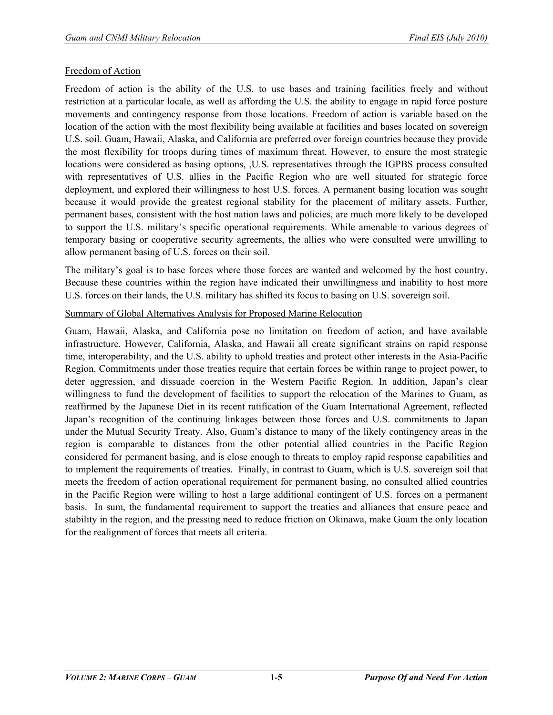## Freedom of Action

Freedom of action is the ability of the U.S. to use bases and training facilities freely and without restriction at a particular locale, as well as affording the U.S. the ability to engage in rapid force posture movements and contingency response from those locations. Freedom of action is variable based on the location of the action with the most flexibility being available at facilities and bases located on sovereign U.S. soil. Guam, Hawaii, Alaska, and California are preferred over foreign countries because they provide the most flexibility for troops during times of maximum threat. However, to ensure the most strategic locations were considered as basing options, ,U.S. representatives through the IGPBS process consulted with representatives of U.S. allies in the Pacific Region who are well situated for strategic force deployment, and explored their willingness to host U.S. forces. A permanent basing location was sought because it would provide the greatest regional stability for the placement of military assets. Further, permanent bases, consistent with the host nation laws and policies, are much more likely to be developed to support the U.S. military's specific operational requirements. While amenable to various degrees of temporary basing or cooperative security agreements, the allies who were consulted were unwilling to allow permanent basing of U.S. forces on their soil.

The military's goal is to base forces where those forces are wanted and welcomed by the host country. Because these countries within the region have indicated their unwillingness and inability to host more U.S. forces on their lands, the U.S. military has shifted its focus to basing on U.S. sovereign soil.

## Summary of Global Alternatives Analysis for Proposed Marine Relocation

Guam, Hawaii, Alaska, and California pose no limitation on freedom of action, and have available infrastructure. However, California, Alaska, and Hawaii all create significant strains on rapid response time, interoperability, and the U.S. ability to uphold treaties and protect other interests in the Asia-Pacific Region. Commitments under those treaties require that certain forces be within range to project power, to deter aggression, and dissuade coercion in the Western Pacific Region. In addition, Japan's clear willingness to fund the development of facilities to support the relocation of the Marines to Guam, as reaffirmed by the Japanese Diet in its recent ratification of the Guam International Agreement, reflected Japan's recognition of the continuing linkages between those forces and U.S. commitments to Japan under the Mutual Security Treaty. Also, Guam's distance to many of the likely contingency areas in the region is comparable to distances from the other potential allied countries in the Pacific Region considered for permanent basing, and is close enough to threats to employ rapid response capabilities and to implement the requirements of treaties. Finally, in contrast to Guam, which is U.S. sovereign soil that meets the freedom of action operational requirement for permanent basing, no consulted allied countries in the Pacific Region were willing to host a large additional contingent of U.S. forces on a permanent basis. In sum, the fundamental requirement to support the treaties and alliances that ensure peace and stability in the region, and the pressing need to reduce friction on Okinawa, make Guam the only location for the realignment of forces that meets all criteria.